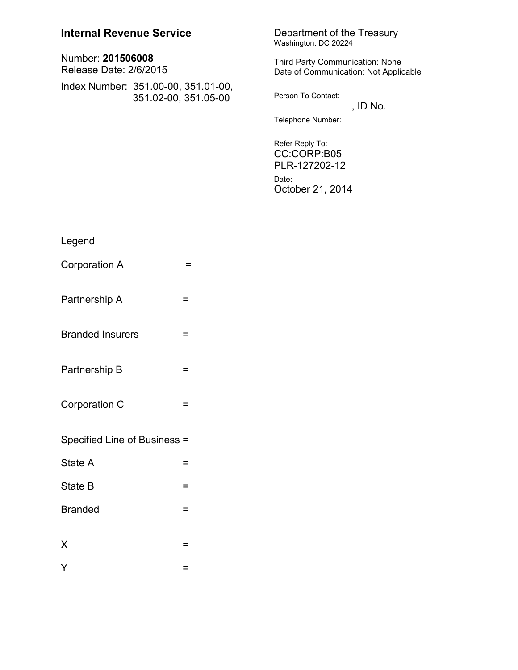| <b>Internal Revenue Service</b>                             | Department of the Treasury<br>Washington, DC 20224                              |
|-------------------------------------------------------------|---------------------------------------------------------------------------------|
| Number: 201506008<br>Release Date: 2/6/2015                 | <b>Third Party Communication: None</b><br>Date of Communication: Not Applicable |
| Index Number: 351.00-00, 351.01-00,<br>351.02-00, 351.05-00 | Person To Contact:<br>, ID No.                                                  |
|                                                             | Telephone Number:                                                               |
|                                                             | Refer Reply To:<br>CC:CORP:B05<br>PLR-127202-12<br>Date:                        |
|                                                             | October 21, 2014                                                                |

| Legend                       |     |
|------------------------------|-----|
| Corporation A                | =   |
| Partnership A                | =   |
| <b>Branded Insurers</b>      | =   |
| Partnership B                | Ξ   |
| Corporation C                | =   |
| Specified Line of Business = |     |
| State A                      | Ξ   |
| State B                      | $=$ |
| <b>Branded</b>               | $=$ |
| X                            | =   |
| Y                            | ⋍   |
|                              |     |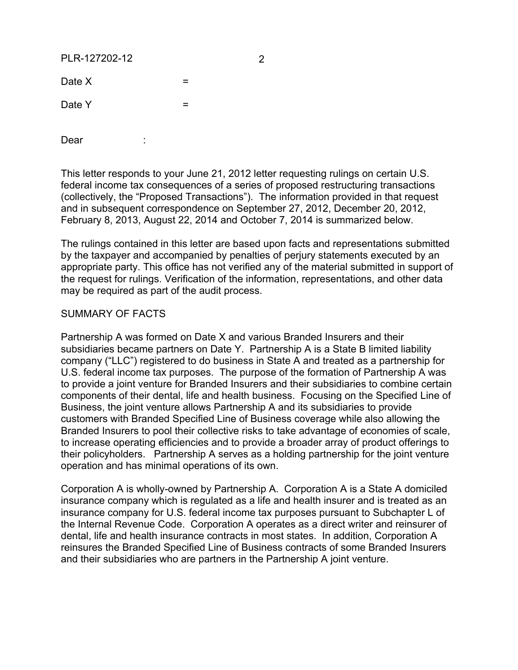PLR-127202-12 2

 $Date X = 20$  $Date Y = 20$ 

Dear :

This letter responds to your June 21, 2012 letter requesting rulings on certain U.S. federal income tax consequences of a series of proposed restructuring transactions (collectively, the "Proposed Transactions"). The information provided in that request and in subsequent correspondence on September 27, 2012, December 20, 2012, February 8, 2013, August 22, 2014 and October 7, 2014 is summarized below.

The rulings contained in this letter are based upon facts and representations submitted by the taxpayer and accompanied by penalties of perjury statements executed by an appropriate party. This office has not verified any of the material submitted in support of the request for rulings. Verification of the information, representations, and other data may be required as part of the audit process.

### SUMMARY OF FACTS

Partnership A was formed on Date X and various Branded Insurers and their subsidiaries became partners on Date Y. Partnership A is a State B limited liability company ("LLC") registered to do business in State A and treated as a partnership for U.S. federal income tax purposes. The purpose of the formation of Partnership A was to provide a joint venture for Branded Insurers and their subsidiaries to combine certain components of their dental, life and health business. Focusing on the Specified Line of Business, the joint venture allows Partnership A and its subsidiaries to provide customers with Branded Specified Line of Business coverage while also allowing the Branded Insurers to pool their collective risks to take advantage of economies of scale, to increase operating efficiencies and to provide a broader array of product offerings to their policyholders. Partnership A serves as a holding partnership for the joint venture operation and has minimal operations of its own.

Corporation A is wholly-owned by Partnership A. Corporation A is a State A domiciled insurance company which is regulated as a life and health insurer and is treated as an insurance company for U.S. federal income tax purposes pursuant to Subchapter L of the Internal Revenue Code. Corporation A operates as a direct writer and reinsurer of dental, life and health insurance contracts in most states. In addition, Corporation A reinsures the Branded Specified Line of Business contracts of some Branded Insurers and their subsidiaries who are partners in the Partnership A joint venture.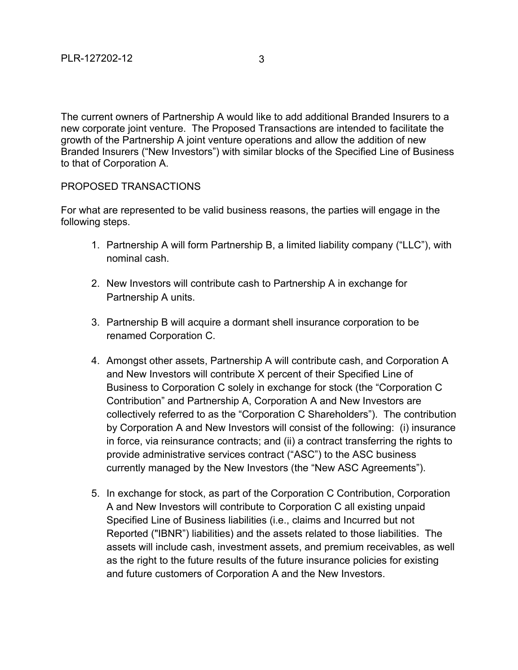The current owners of Partnership A would like to add additional Branded Insurers to a new corporate joint venture. The Proposed Transactions are intended to facilitate the growth of the Partnership A joint venture operations and allow the addition of new Branded Insurers ("New Investors") with similar blocks of the Specified Line of Business to that of Corporation A.

## PROPOSED TRANSACTIONS

For what are represented to be valid business reasons, the parties will engage in the following steps.

- 1. Partnership A will form Partnership B, a limited liability company ("LLC"), with nominal cash.
- 2. New Investors will contribute cash to Partnership A in exchange for Partnership A units.
- 3. Partnership B will acquire a dormant shell insurance corporation to be renamed Corporation C.
- 4. Amongst other assets, Partnership A will contribute cash, and Corporation A and New Investors will contribute X percent of their Specified Line of Business to Corporation C solely in exchange for stock (the "Corporation C Contribution" and Partnership A, Corporation A and New Investors are collectively referred to as the "Corporation C Shareholders"). The contribution by Corporation A and New Investors will consist of the following: (i) insurance in force, via reinsurance contracts; and (ii) a contract transferring the rights to provide administrative services contract ("ASC") to the ASC business currently managed by the New Investors (the "New ASC Agreements").
- 5. In exchange for stock, as part of the Corporation C Contribution, Corporation A and New Investors will contribute to Corporation C all existing unpaid Specified Line of Business liabilities (i.e., claims and Incurred but not Reported ("IBNR") liabilities) and the assets related to those liabilities. The assets will include cash, investment assets, and premium receivables, as well as the right to the future results of the future insurance policies for existing and future customers of Corporation A and the New Investors.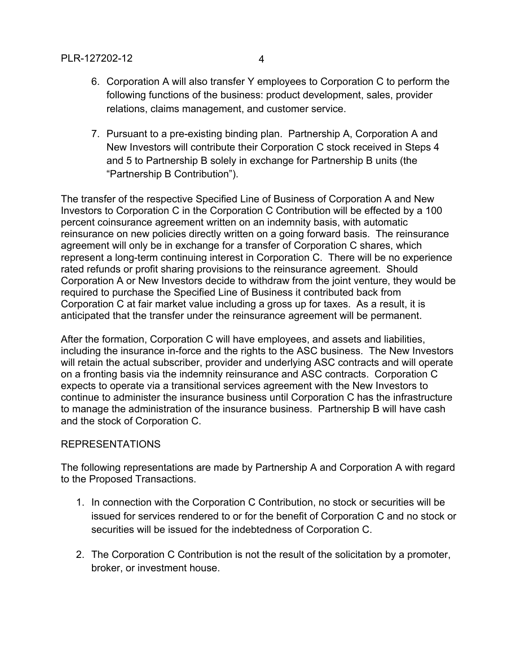- 6. Corporation A will also transfer Y employees to Corporation C to perform the following functions of the business: product development, sales, provider relations, claims management, and customer service.
- 7. Pursuant to a pre-existing binding plan. Partnership A, Corporation A and New Investors will contribute their Corporation C stock received in Steps 4 and 5 to Partnership B solely in exchange for Partnership B units (the "Partnership B Contribution").

The transfer of the respective Specified Line of Business of Corporation A and New Investors to Corporation C in the Corporation C Contribution will be effected by a 100 percent coinsurance agreement written on an indemnity basis, with automatic reinsurance on new policies directly written on a going forward basis. The reinsurance agreement will only be in exchange for a transfer of Corporation C shares, which represent a long-term continuing interest in Corporation C. There will be no experience rated refunds or profit sharing provisions to the reinsurance agreement. Should Corporation A or New Investors decide to withdraw from the joint venture, they would be required to purchase the Specified Line of Business it contributed back from Corporation C at fair market value including a gross up for taxes. As a result, it is anticipated that the transfer under the reinsurance agreement will be permanent.

After the formation, Corporation C will have employees, and assets and liabilities, including the insurance in-force and the rights to the ASC business. The New Investors will retain the actual subscriber, provider and underlying ASC contracts and will operate on a fronting basis via the indemnity reinsurance and ASC contracts. Corporation C expects to operate via a transitional services agreement with the New Investors to continue to administer the insurance business until Corporation C has the infrastructure to manage the administration of the insurance business. Partnership B will have cash and the stock of Corporation C.

## REPRESENTATIONS

The following representations are made by Partnership A and Corporation A with regard to the Proposed Transactions.

- 1. In connection with the Corporation C Contribution, no stock or securities will be issued for services rendered to or for the benefit of Corporation C and no stock or securities will be issued for the indebtedness of Corporation C.
- 2. The Corporation C Contribution is not the result of the solicitation by a promoter, broker, or investment house.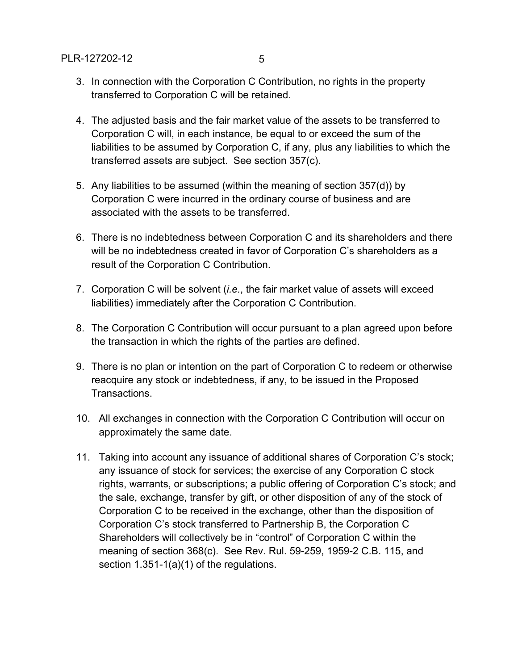- 3. In connection with the Corporation C Contribution, no rights in the property transferred to Corporation C will be retained.
- 4. The adjusted basis and the fair market value of the assets to be transferred to Corporation C will, in each instance, be equal to or exceed the sum of the liabilities to be assumed by Corporation C, if any, plus any liabilities to which the transferred assets are subject. See section 357(c).
- 5. Any liabilities to be assumed (within the meaning of section 357(d)) by Corporation C were incurred in the ordinary course of business and are associated with the assets to be transferred.
- 6. There is no indebtedness between Corporation C and its shareholders and there will be no indebtedness created in favor of Corporation C's shareholders as a result of the Corporation C Contribution.
- 7. Corporation C will be solvent (*i.e.*, the fair market value of assets will exceed liabilities) immediately after the Corporation C Contribution.
- 8. The Corporation C Contribution will occur pursuant to a plan agreed upon before the transaction in which the rights of the parties are defined.
- 9. There is no plan or intention on the part of Corporation C to redeem or otherwise reacquire any stock or indebtedness, if any, to be issued in the Proposed Transactions.
- 10. All exchanges in connection with the Corporation C Contribution will occur on approximately the same date.
- 11. Taking into account any issuance of additional shares of Corporation C's stock; any issuance of stock for services; the exercise of any Corporation C stock rights, warrants, or subscriptions; a public offering of Corporation C's stock; and the sale, exchange, transfer by gift, or other disposition of any of the stock of Corporation C to be received in the exchange, other than the disposition of Corporation C's stock transferred to Partnership B, the Corporation C Shareholders will collectively be in "control" of Corporation C within the meaning of section 368(c). See Rev. Rul. 59-259, 1959-2 C.B. 115, and section 1.351-1(a)(1) of the regulations.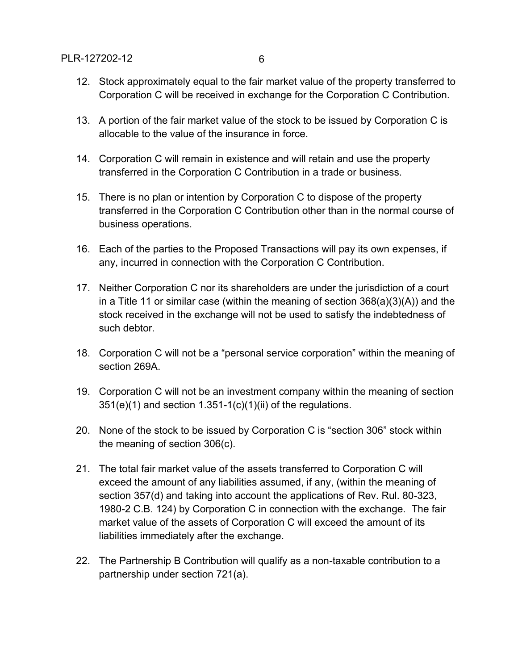- 12. Stock approximately equal to the fair market value of the property transferred to Corporation C will be received in exchange for the Corporation C Contribution.
- 13. A portion of the fair market value of the stock to be issued by Corporation C is allocable to the value of the insurance in force.
- 14. Corporation C will remain in existence and will retain and use the property transferred in the Corporation C Contribution in a trade or business.
- 15. There is no plan or intention by Corporation C to dispose of the property transferred in the Corporation C Contribution other than in the normal course of business operations.
- 16. Each of the parties to the Proposed Transactions will pay its own expenses, if any, incurred in connection with the Corporation C Contribution.
- 17. Neither Corporation C nor its shareholders are under the jurisdiction of a court in a Title 11 or similar case (within the meaning of section 368(a)(3)(A)) and the stock received in the exchange will not be used to satisfy the indebtedness of such debtor.
- 18. Corporation C will not be a "personal service corporation" within the meaning of section 269A.
- 19. Corporation C will not be an investment company within the meaning of section  $351(e)(1)$  and section  $1.351-1(c)(1)(ii)$  of the regulations.
- 20. None of the stock to be issued by Corporation C is "section 306" stock within the meaning of section 306(c).
- 21. The total fair market value of the assets transferred to Corporation C will exceed the amount of any liabilities assumed, if any, (within the meaning of section 357(d) and taking into account the applications of Rev. Rul. 80-323, 1980-2 C.B. 124) by Corporation C in connection with the exchange. The fair market value of the assets of Corporation C will exceed the amount of its liabilities immediately after the exchange.
- 22. The Partnership B Contribution will qualify as a non-taxable contribution to a partnership under section 721(a).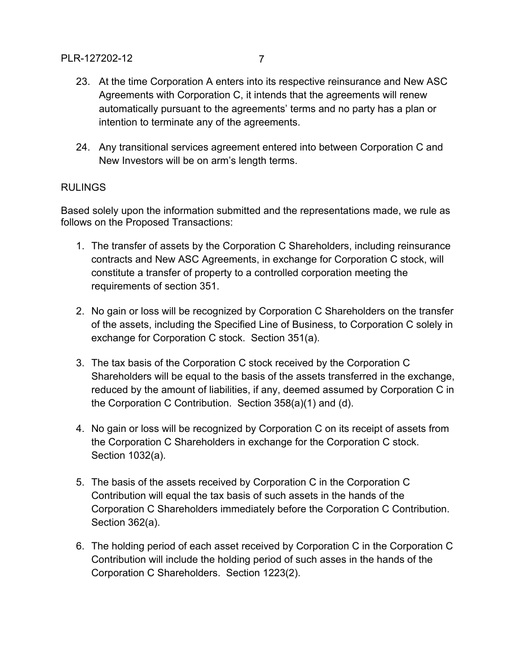24. Any transitional services agreement entered into between Corporation C and New Investors will be on arm's length terms.

# RULINGS

Based solely upon the information submitted and the representations made, we rule as follows on the Proposed Transactions:

- 1. The transfer of assets by the Corporation C Shareholders, including reinsurance contracts and New ASC Agreements, in exchange for Corporation C stock, will constitute a transfer of property to a controlled corporation meeting the requirements of section 351.
- 2. No gain or loss will be recognized by Corporation C Shareholders on the transfer of the assets, including the Specified Line of Business, to Corporation C solely in exchange for Corporation C stock. Section 351(a).
- 3. The tax basis of the Corporation C stock received by the Corporation C Shareholders will be equal to the basis of the assets transferred in the exchange, reduced by the amount of liabilities, if any, deemed assumed by Corporation C in the Corporation C Contribution. Section 358(a)(1) and (d).
- 4. No gain or loss will be recognized by Corporation C on its receipt of assets from the Corporation C Shareholders in exchange for the Corporation C stock. Section 1032(a).
- 5. The basis of the assets received by Corporation C in the Corporation C Contribution will equal the tax basis of such assets in the hands of the Corporation C Shareholders immediately before the Corporation C Contribution. Section 362(a).
- 6. The holding period of each asset received by Corporation C in the Corporation C Contribution will include the holding period of such asses in the hands of the Corporation C Shareholders. Section 1223(2).